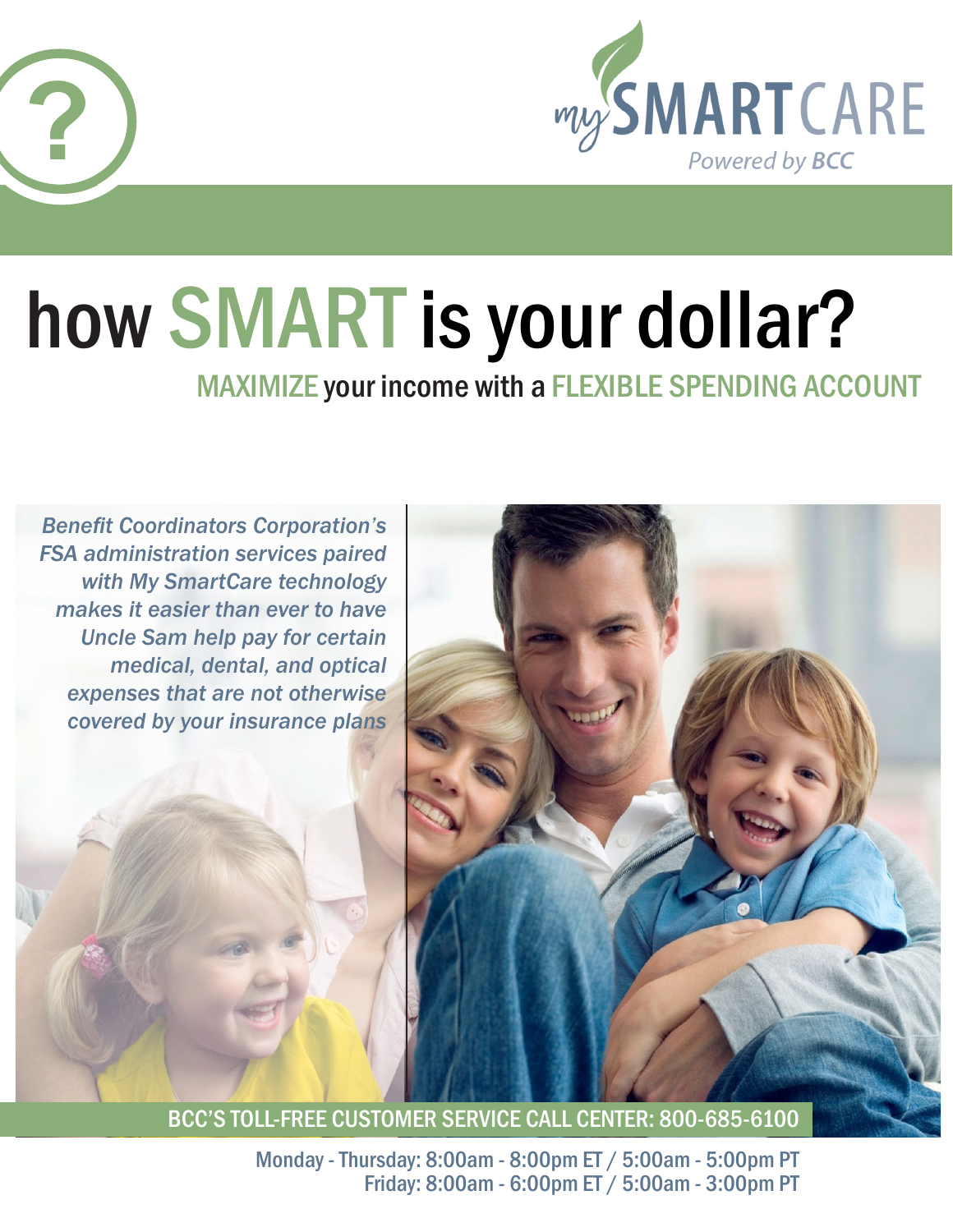

# how SMARTis your dollar?

**?**

MAXIMIZE your income with a FLEXIBLE SPENDING ACCOUNT



BCC'S TOLL-FREE CUSTOMER SERVICE CALL CENTER: 800-685-6100

Monday - Thursday: 8:00am - 8:00pm ET / 5:00am - 5:00pm PT Friday: 8:00am - 6:00pm ET / 5:00am - 3:00pm PT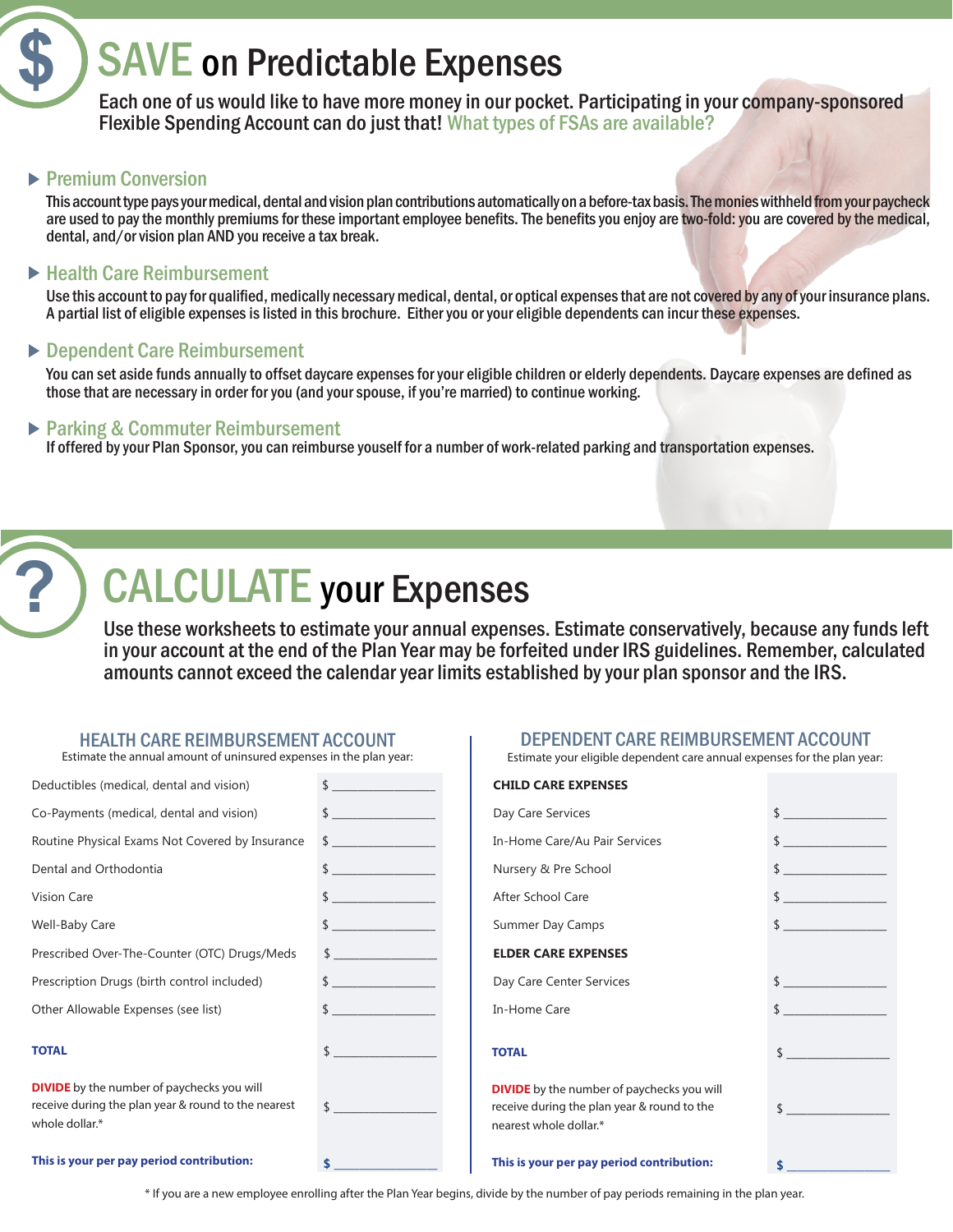# SAVE on Predictable Expenses

Each one of us would like to have more money in our pocket. Participating in your company-sponsored Flexible Spending Account can do just that! What types of FSAs are available?

### **Premium Conversion**

**\$**

**?**

This account type pays your medical, dental and vision plan contributions automatically on a before-tax basis. The monies withheld from your paycheck are used to pay the monthly premiums for these important employee benefits. The benefits you enjoy are two-fold: you are covered by the medical, dental, and/or vision plan AND you receive a tax break.

### ▶ Health Care Reimbursement

Use this account to pay for qualified, medically necessary medical, dental, or optical expenses that are not covered by any of your insurance plans. A partial list of eligible expenses is listed in this brochure. Either you or your eligible dependents can incur these expenses.

### ▶ Dependent Care Reimbursement

You can set aside funds annually to offset daycare expenses for your eligible children or elderly dependents. Daycare expenses are defined as those that are necessary in order for you (and your spouse, if you're married) to continue working.

### ▶ Parking & Commuter Reimbursement

If offered by your Plan Sponsor, you can reimburse youself for a number of work-related parking and transportation expenses.

# CALCULATE your Expenses

Use these worksheets to estimate your annual expenses. Estimate conservatively, because any funds left in your account at the end of the Plan Year may be forfeited under IRS guidelines. Remember, calculated amounts cannot exceed the calendar year limits established by your plan sponsor and the IRS.

# **HEALTH CARE REIMBURSEMENT ACCOUNT**<br>Estimate the annual amount of uninsured expenses in the plan year:

| Deductibles (medical, dental and vision)                                                                                   | $\frac{1}{2}$                                             |
|----------------------------------------------------------------------------------------------------------------------------|-----------------------------------------------------------|
| Co-Payments (medical, dental and vision)                                                                                   | $\begin{array}{c} \updownarrow \\ \hline \end{array}$     |
| Routine Physical Exams Not Covered by Insurance                                                                            | $\frac{1}{2}$                                             |
| Dental and Orthodontia                                                                                                     | $\frac{1}{2}$                                             |
| <b>Vision Care</b>                                                                                                         | $\begin{array}{c} \updownarrow \\ \downarrow \end{array}$ |
| Well-Baby Care                                                                                                             | \$                                                        |
| Prescribed Over-The-Counter (OTC) Drugs/Meds                                                                               | $\frac{1}{2}$                                             |
| Prescription Drugs (birth control included)                                                                                |                                                           |
| Other Allowable Expenses (see list)                                                                                        |                                                           |
| <b>TOTAL</b>                                                                                                               | $\frac{1}{2}$                                             |
| <b>DIVIDE</b> by the number of paychecks you will<br>receive during the plan year & round to the nearest<br>whole dollar.* | $\uparrow$                                                |
| This is your per pay period contribution:                                                                                  | \$                                                        |

#### DEPENDENT CARE REIMBURSEMENT ACCOUNT

Estimate your eligible dependent care annual expenses for the plan year:

#### **CHILD CARE EXPENSES**

| Day Care Services                                                                                |               |
|--------------------------------------------------------------------------------------------------|---------------|
| In-Home Care/Au Pair Services                                                                    | $\frac{1}{2}$ |
| Nursery & Pre School                                                                             |               |
| After School Care                                                                                | $\frac{1}{2}$ |
| Summer Day Camps                                                                                 |               |
| <b>ELDER CARE EXPENSES</b>                                                                       |               |
| Day Care Center Services                                                                         | $\frac{1}{2}$ |
| In-Home Care                                                                                     | $\frac{1}{2}$ |
| <b>TOTAL</b>                                                                                     | $\frac{1}{2}$ |
| <b>DIVIDE</b> by the number of paychecks you will<br>receive during the plan year & round to the | $\frac{1}{2}$ |
| nearest whole dollar.*                                                                           |               |
|                                                                                                  |               |

**\$ \_\_\_\_\_\_\_\_\_\_\_\_\_\_\_\_\_\_\_\_**

#### **This is your per pay period contribution:**

\* If you are a new employee enrolling after the Plan Year begins, divide by the number of pay periods remaining in the plan year.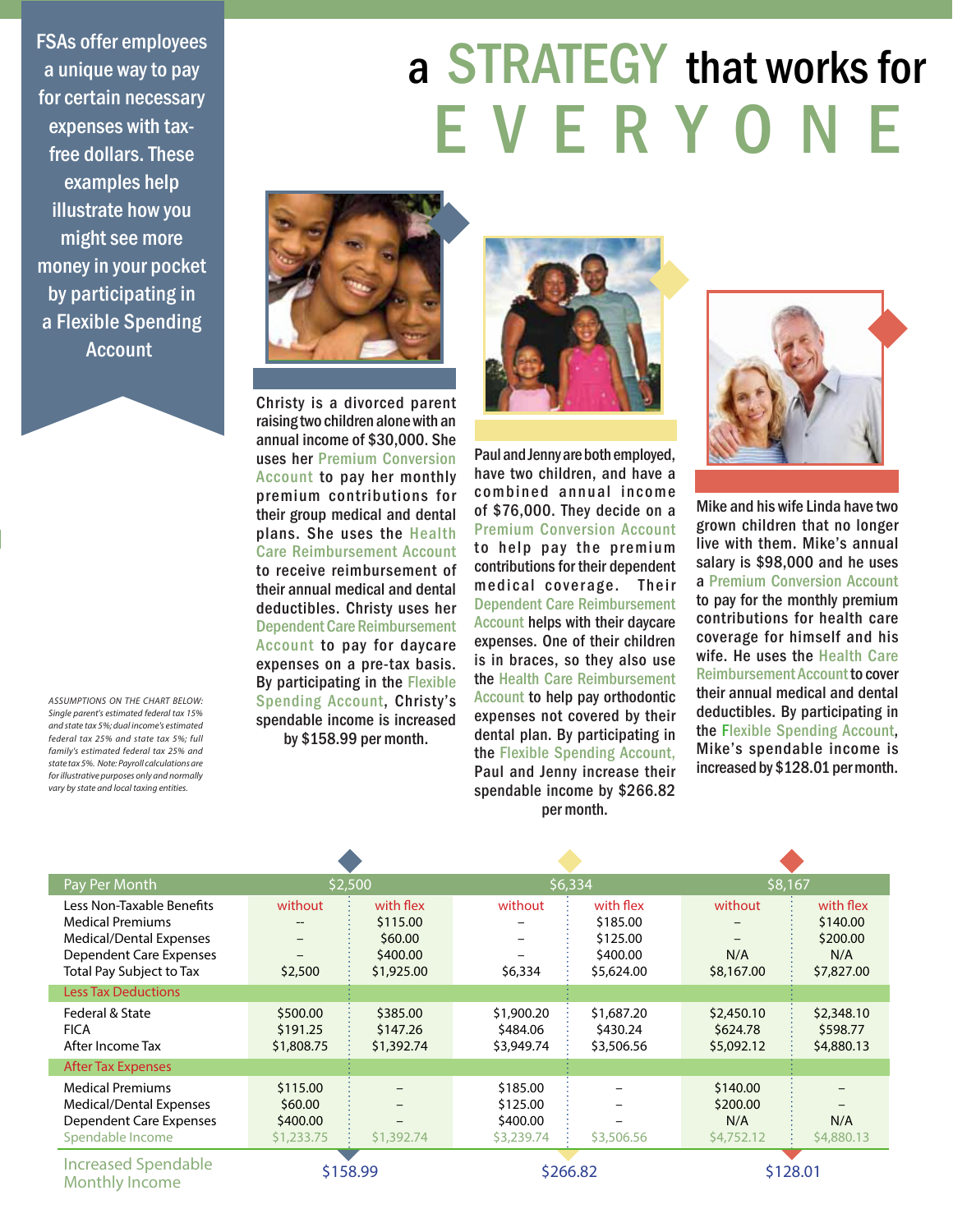FSAs offer employees a unique way to pay for certain necessary expenses with taxfree dollars. These examples help illustrate how you might see more money in your pocket by participating in a Flexible Spending **Account** 

*ASSUMPTIONS ON THE CHART BELOW: Single parent's estimated federal tax 15% and state tax 5%; dual income's estimated federal tax 25% and state tax 5%; full family's estimated federal tax 25% and state tax 5%. Note: Payroll calculations are for illustrative purposes only and normally vary by state and local taxing entities.*

# a STRATEGY that works for E V E R Y O N E



Christy is a divorced parent raising two children alone with an annual income of \$30,000. She uses her Premium Conversion Account to pay her monthly premium contributions for their group medical and dental plans. She uses the Health Care Reimbursement Account to receive reimbursement of their annual medical and dental deductibles. Christy uses her Dependent Care Reimbursement Account to pay for daycare expenses on a pre-tax basis. By participating in the Flexible Spending Account, Christy's spendable income is increased by \$158.99 per month.



Paul and Jenny are both employed, have two children, and have a combined annual income of \$76,000. They decide on a Premium Conversion Account to help pay the premium contributions for their dependent medical coverage. Their Dependent Care Reimbursement Account helps with their daycare expenses. One of their children is in braces, so they also use the Health Care Reimbursement Account to help pay orthodontic expenses not covered by their dental plan. By participating in the Flexible Spending Account, Paul and Jenny increase their spendable income by \$266.82 per month.



Mike and his wife Linda have two grown children that no longer live with them. Mike's annual salary is \$98,000 and he uses a Premium Conversion Account to pay for the monthly premium contributions for health care coverage for himself and his wife. He uses the Health Care Reimbursement Account to cover their annual medical and dental deductibles. By participating in the Flexible Spending Account, Mike's spendable income is increased by \$128.01 per month.

| Pay Per Month                                                                                                                                 | \$2,500                                       |                                                            | \$6,334                                        |                                                             | \$8,167                                   |                                                        |
|-----------------------------------------------------------------------------------------------------------------------------------------------|-----------------------------------------------|------------------------------------------------------------|------------------------------------------------|-------------------------------------------------------------|-------------------------------------------|--------------------------------------------------------|
| Less Non-Taxable Benefits<br><b>Medical Premiums</b><br><b>Medical/Dental Expenses</b><br>Dependent Care Expenses<br>Total Pay Subject to Tax | without<br>\$2,500                            | with flex<br>\$115.00<br>\$60.00<br>\$400.00<br>\$1,925.00 | without<br>\$6,334                             | with flex<br>\$185.00<br>\$125.00<br>\$400.00<br>\$5,624.00 | without<br>N/A<br>\$8,167.00              | with flex<br>\$140.00<br>\$200.00<br>N/A<br>\$7,827.00 |
| <b>Less Tax Deductions</b>                                                                                                                    |                                               |                                                            |                                                |                                                             |                                           |                                                        |
| Federal & State<br><b>FICA</b><br>After Income Tax                                                                                            | \$500.00<br>\$191.25<br>\$1,808.75            | \$385.00<br>\$147.26<br>\$1,392.74                         | \$1,900.20<br>\$484.06<br>\$3,949.74           | \$1,687.20<br>\$430.24<br>\$3,506.56                        | \$2,450.10<br>\$624.78<br>\$5,092.12      | \$2,348.10<br>\$598.77<br>\$4,880.13                   |
| <b>After Tax Expenses</b>                                                                                                                     |                                               |                                                            |                                                |                                                             |                                           |                                                        |
| <b>Medical Premiums</b><br><b>Medical/Dental Expenses</b><br>Dependent Care Expenses<br>Spendable Income                                      | \$115.00<br>\$60.00<br>\$400.00<br>\$1,233.75 | \$1,392.74                                                 | \$185.00<br>\$125.00<br>\$400.00<br>\$3,239.74 | \$3,506.56                                                  | \$140.00<br>\$200.00<br>N/A<br>\$4,752.12 | N/A<br>\$4,880.13                                      |
| <b>Increased Spendable</b><br><b>Monthly Income</b>                                                                                           | \$158.99                                      |                                                            |                                                | \$266.82                                                    |                                           | \$128.01                                               |

Ī

I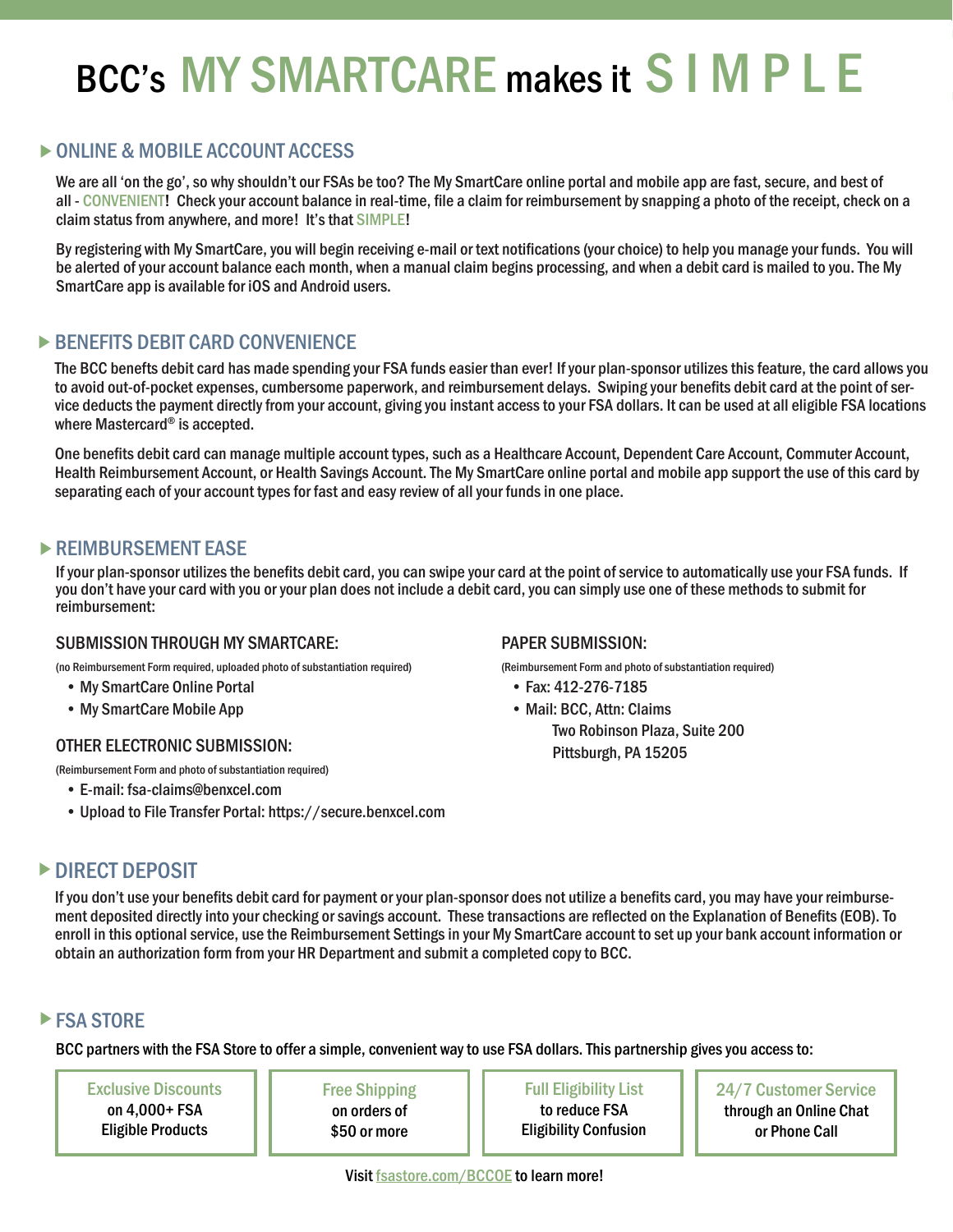# BCC's MY SMARTCARE makes it S I M P L E

# ONLINE & MOBILE ACCOUNT ACCESS

We are all 'on the go', so why shouldn't our FSAs be too? The My SmartCare online portal and mobile app are fast, secure, and best of all - CONVENIENT! Check your account balance in real-time, file a claim for reimbursement by snapping a photo of the receipt, check on a claim status from anywhere, and more! It's that SIMPLE!

By registering with My SmartCare, you will begin receiving e-mail or text notifications (your choice) to help you manage your funds. You will be alerted of your account balance each month, when a manual claim begins processing, and when a debit card is mailed to you. The My SmartCare app is available for iOS and Android users.

# **BENEFITS DEBIT CARD CONVENIENCE**

The BCC benefts debit card has made spending your FSA funds easier than ever! If your plan-sponsor utilizes this feature, the card allows you to avoid out-of-pocket expenses, cumbersome paperwork, and reimbursement delays. Swiping your benefits debit card at the point of service deducts the payment directly from your account, giving you instant access to your FSA dollars. It can be used at all eligible FSA locations where Mastercard® is accepted.

One benefits debit card can manage multiple account types, such as a Healthcare Account, Dependent Care Account, Commuter Account, Health Reimbursement Account, or Health Savings Account. The My SmartCare online portal and mobile app support the use of this card by separating each of your account types for fast and easy review of all your funds in one place.

# REIMBURSEMENT EASE

If your plan-sponsor utilizes the benefits debit card, you can swipe your card at the point of service to automatically use your FSA funds. If you don't have your card with you or your plan does not include a debit card, you can simply use one of these methods to submit for reimbursement:

### SUBMISSION THROUGH MY SMARTCARE:

(no Reimbursement Form required, uploaded photo of substantiation required)

- My SmartCare Online Portal
- My SmartCare Mobile App

### OTHER ELECTRONIC SUBMISSION:

(Reimbursement Form and photo of substantiation required)

- E-mail: fsa-claims@benxcel.com
- Upload to File Transfer Portal: https://secure.benxcel.com

### PAPER SUBMISSION:

(Reimbursement Form and photo of substantiation required)

- Fax: 412-276-7185
- Mail: BCC, Attn: Claims Two Robinson Plaza, Suite 200 Pittsburgh, PA 15205

# DIRECT DEPOSIT

If you don't use your benefits debit card for payment or your plan-sponsor does not utilize a benefits card, you may have your reimbursement deposited directly into your checking or savings account. These transactions are reflected on the Explanation of Benefits (EOB). To enroll in this optional service, use the Reimbursement Settings in your My SmartCare account to set up your bank account information or obtain an authorization form from your HR Department and submit a completed copy to BCC.

# **FSA STORE**

BCC partners with the FSA Store to offer a simple, convenient way to use FSA dollars. This partnership gives you access to:

Exclusive Discounts on 4,000+ FSA Eligible Products

Free Shipping on orders of \$50 or more

Full Eligibility List to reduce FSA Eligibility Confusion

24/7 Customer Service through an Online Chat or Phone Call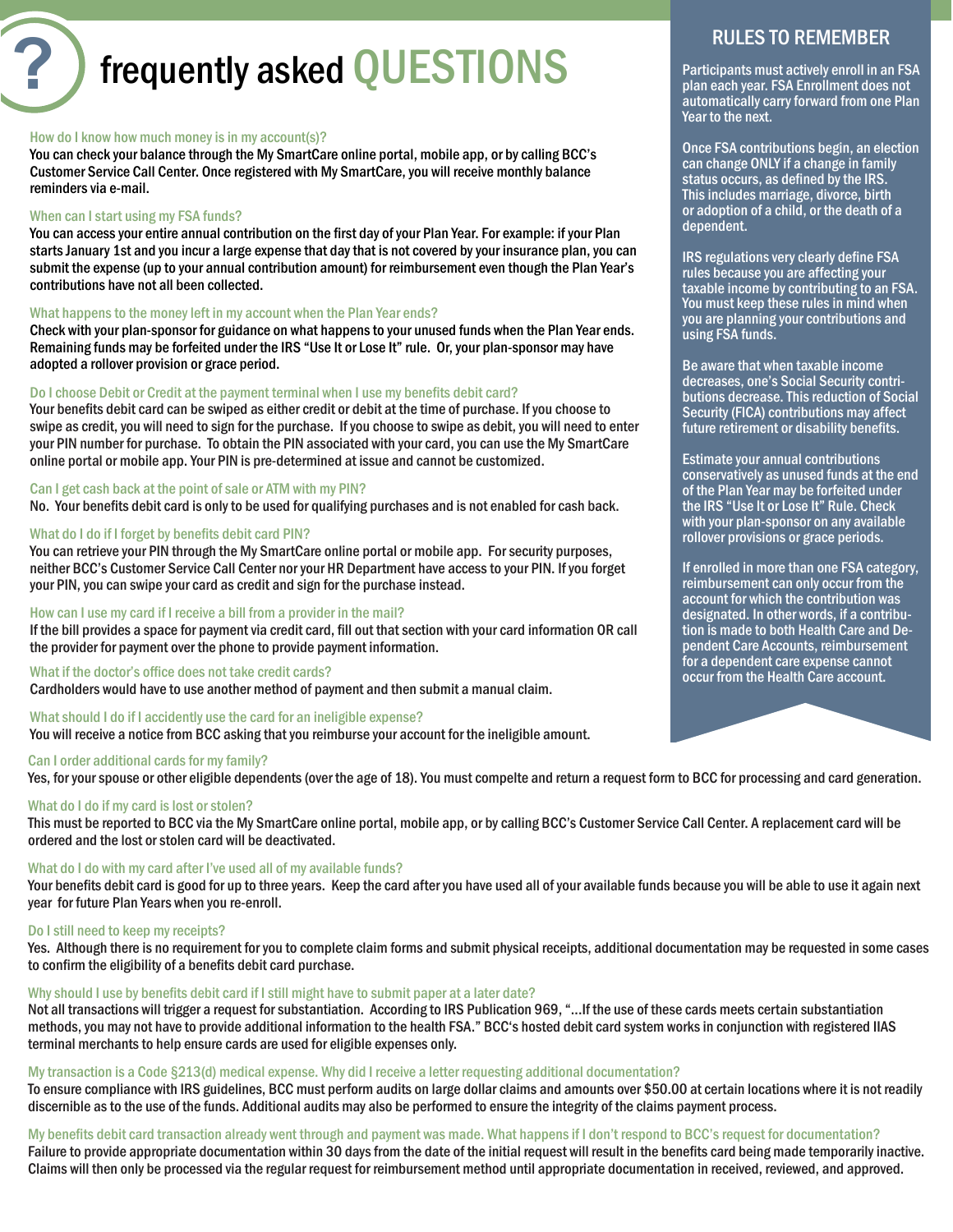# **?** frequently asked QUESTIONS

#### How do I know how much money is in my account(s)?

You can check your balance through the My SmartCare online portal, mobile app, or by calling BCC's Customer Service Call Center. Once registered with My SmartCare, you will receive monthly balance reminders via e-mail.

#### When can I start using my FSA funds?

You can access your entire annual contribution on the first day of your Plan Year. For example: if your Plan starts January 1st and you incur a large expense that day that is not covered by your insurance plan, you can submit the expense (up to your annual contribution amount) for reimbursement even though the Plan Year's contributions have not all been collected.

#### What happens to the money left in my account when the Plan Year ends?

Check with your plan-sponsor for guidance on what happens to your unused funds when the Plan Year ends. Remaining funds may be forfeited under the IRS "Use It or Lose It" rule. Or, your plan-sponsor may have adopted a rollover provision or grace period.

#### Do I choose Debit or Credit at the payment terminal when I use my benefits debit card?

Your benefits debit card can be swiped as either credit or debit at the time of purchase. If you choose to swipe as credit, you will need to sign for the purchase. If you choose to swipe as debit, you will need to enter your PIN number for purchase. To obtain the PIN associated with your card, you can use the My SmartCare online portal or mobile app. Your PIN is pre-determined at issue and cannot be customized.

#### Can I get cash back at the point of sale or ATM with my PIN?

No. Your benefits debit card is only to be used for qualifying purchases and is not enabled for cash back.

#### What do I do if I forget by benefits debit card PIN?

You can retrieve your PIN through the My SmartCare online portal or mobile app. For security purposes, neither BCC's Customer Service Call Center nor your HR Department have access to your PIN. If you forget your PIN, you can swipe your card as credit and sign for the purchase instead.

#### How can I use my card if I receive a bill from a provider in the mail?

If the bill provides a space for payment via credit card, fill out that section with your card information OR call the provider for payment over the phone to provide payment information.

#### What if the doctor's office does not take credit cards?

Cardholders would have to use another method of payment and then submit a manual claim.

#### What should I do if I accidently use the card for an ineligible expense?

You will receive a notice from BCC asking that you reimburse your account for the ineligible amount.

#### Can I order additional cards for my family?

Yes, for your spouse or other eligible dependents (over the age of 18). You must compelte and return a request form to BCC for processing and card generation.

#### What do I do if my card is lost or stolen?

This must be reported to BCC via the My SmartCare online portal, mobile app, or by calling BCC's Customer Service Call Center. A replacement card will be ordered and the lost or stolen card will be deactivated.

#### What do I do with my card after I've used all of my available funds?

Your benefits debit card is good for up to three years. Keep the card after you have used all of your available funds because you will be able to use it again next year for future Plan Years when you re-enroll.

#### Do I still need to keep my receipts?

Yes. Although there is no requirement for you to complete claim forms and submit physical receipts, additional documentation may be requested in some cases to confirm the eligibility of a benefits debit card purchase.

#### Why should I use by benefits debit card if I still might have to submit paper at a later date?

Not all transactions will trigger a request for substantiation. According to IRS Publication 969, "...If the use of these cards meets certain substantiation methods, you may not have to provide additional information to the health FSA." BCC's hosted debit card system works in conjunction with registered IIAS terminal merchants to help ensure cards are used for eligible expenses only.

#### My transaction is a Code §213(d) medical expense. Why did I receive a letter requesting additional documentation?

To ensure compliance with IRS guidelines, BCC must perform audits on large dollar claims and amounts over \$50.00 at certain locations where it is not readily discernible as to the use of the funds. Additional audits may also be performed to ensure the integrity of the claims payment process.

#### My benefits debit card transaction already went through and payment was made. What happens if I don't respond to BCC's request for documentation?

Failure to provide appropriate documentation within 30 days from the date of the initial request will result in the benefits card being made temporarily inactive. Claims will then only be processed via the regular request for reimbursement method until appropriate documentation in received, reviewed, and approved.

# RULES TO REMEMBER

Participants must actively enroll in an FSA plan each year. FSA Enrollment does not automatically carry forward from one Plan Year to the next.

Once FSA contributions begin, an election can change ONLY if a change in family status occurs, as defined by the IRS. This includes marriage, divorce, birth or adoption of a child, or the death of a dependent.

IRS regulations very clearly define FSA rules because you are affecting your taxable income by contributing to an FSA. You must keep these rules in mind when you are planning your contributions and using FSA funds.

Be aware that when taxable income decreases, one's Social Security contributions decrease. This reduction of Social Security (FICA) contributions may affect future retirement or disability benefits.

Estimate your annual contributions conservatively as unused funds at the end of the Plan Year may be forfeited under the IRS "Use It or Lose It" Rule. Check with your plan-sponsor on any available rollover provisions or grace periods.

If enrolled in more than one FSA category, reimbursement can only occur from the account for which the contribution was designated. In other words, if a contribution is made to both Health Care and Dependent Care Accounts, reimbursement for a dependent care expense cannot occur from the Health Care account.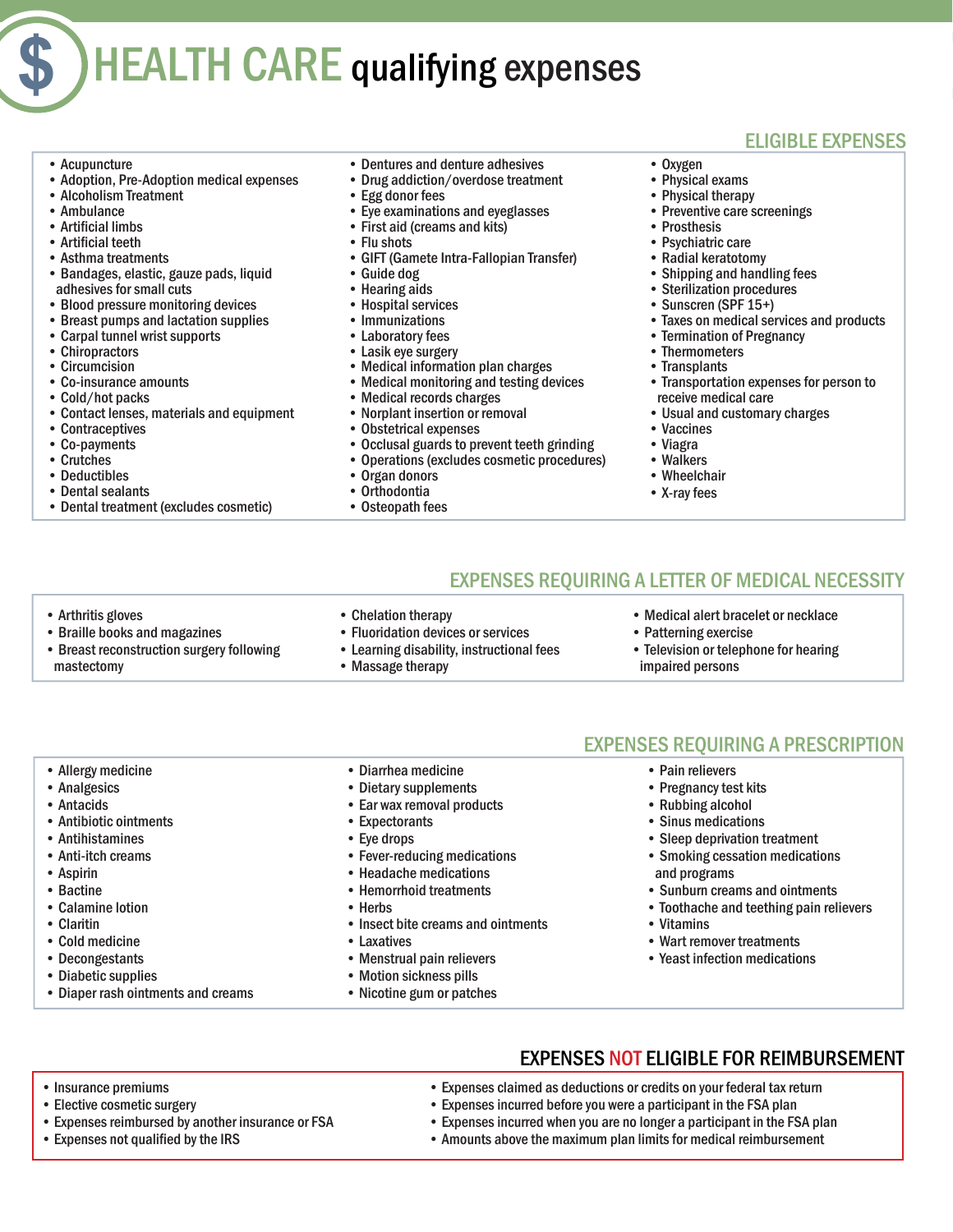# HEALTH CARE qualifying expenses

• Acupuncture

**\$**

- Adoption, Pre-Adoption medical expenses
- Alcoholism Treatment
- Ambulance
- Artificial limbs
- Artificial teeth
- Asthma treatments
- Bandages, elastic, gauze pads, liquid adhesives for small cuts
- Blood pressure monitoring devices
- Breast pumps and lactation supplies
- Carpal tunnel wrist supports
- Chiropractors
- Circumcision
- Co-insurance amounts
- Cold/hot packs
- Contact lenses, materials and equipment
- Contraceptives
- Co-payments
- Crutches
- Deductibles
- Dental sealants
- Dental treatment (excludes cosmetic)

• Breast reconstruction surgery following

- Dentures and denture adhesives
- Drug addiction/overdose treatment
- Egg donor fees
- Eye examinations and eyeglasses
- First aid (creams and kits)
- Flu shots
- GIFT (Gamete Intra-Fallopian Transfer)
- Guide dog
- Hearing aids
- Hospital services
- **Immunizations**
- Laboratory fees
- Lasik eye surgery
- Medical information plan charges<br>• Medical monitoring and testing de
- Medical monitoring and testing devices
- Medical records charges
- Norplant insertion or removal
- Obstetrical expenses<br>• Occlusal guards to pro-
- Occlusal guards to prevent teeth grinding
- Operations (excludes cosmetic procedures)<br>• Organ donors
- Organ donors
- Orthodontia
- Osteopath fees

# ELIGIBLE EXPENSES

- Oxygen
- Physical exams
- Physical therapy
- Preventive care screenings
- Prosthesis
- Psychiatric care
- Radial keratotomy
- Shipping and handling fees
- Sterilization procedures
- Sunscren (SPF 15+)
- Taxes on medical services and products
- Termination of Pregnancy
- Thermometers
- Transplants
- Transportation expenses for person to receive medical care
- Usual and customary charges
- Vaccines
- Viagra
- Walkers
- Wheelchair
- X-ray fees

# EXPENSES REQUIRING A LETTER OF MEDICAL NECESSITY

• Arthritis gloves

mastectomy

- Braille books and magazines
- Chelation therapy • Fluoridation devices or services
- Learning disability, instructional fees
- Massage therapy
- Medical alert bracelet or necklace • Patterning exercise
- Television or telephone for hearing impaired persons

- Allergy medicine
- Analgesics
- Antacids
- Antibiotic ointments
- Antihistamines
- Anti-itch creams
- 
- Aspirin • Bactine
- 
- Calamine lotion
- Claritin
- Cold medicine
- Decongestants
- Diabetic supplies

• Insurance premiums • Elective cosmetic surgery

• Diaper rash ointments and creams

• Expenses not qualified by the IRS

• Expenses reimbursed by another insurance or FSA

• Diarrhea medicine • Dietary supplements • Ear wax removal products

• Fever-reducing medications • Headache medications • Hemorrhoid treatments

• Menstrual pain relievers • Motion sickness pills • Nicotine gum or patches

• Insect bite creams and ointments

• Expectorants • Eye drops

• Herbs

• Laxatives

## EXPENSES REQUIRING A PRESCRIPTION

• Pain relievers

• Vitamins

• Expenses claimed as deductions or credits on your federal tax return • Expenses incurred before you were a participant in the FSA plan • Expenses incurred when you are no longer a participant in the FSA plan • Amounts above the maximum plan limits for medical reimbursement

- Pregnancy test kits
- Rubbing alcohol
- Sinus medications
- Sleep deprivation treatment
- Smoking cessation medications and programs
- Sunburn creams and ointments

• Wart remover treatments • Yeast infection medications

EXPENSES NOT ELIGIBLE FOR REIMBURSEMENT

• Toothache and teething pain relievers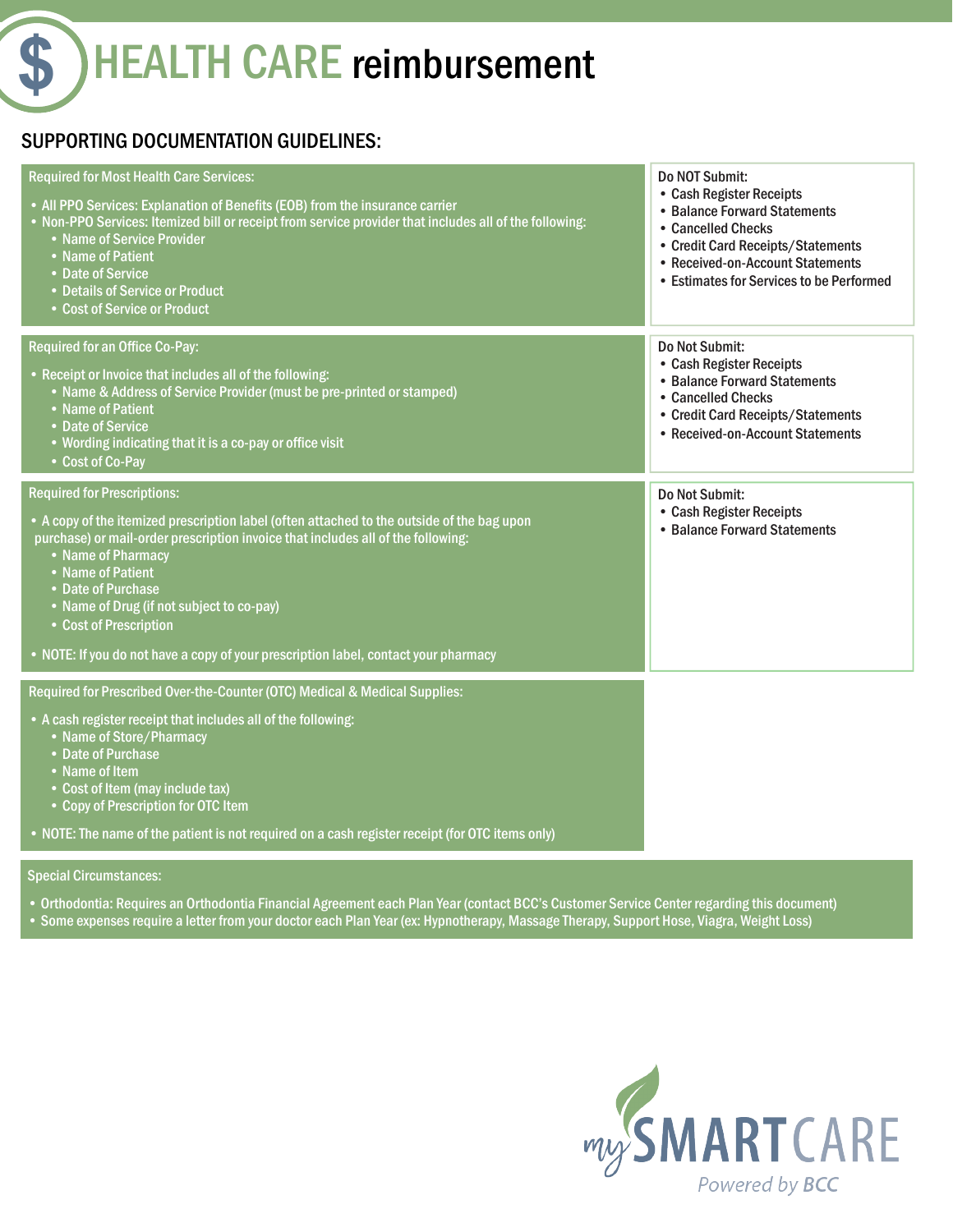**HEALTH CARE reimbursement** 

# SUPPORTING DOCUMENTATION GUIDELINES:

| <b>Required for Most Health Care Services:</b><br>• All PPO Services: Explanation of Benefits (EOB) from the insurance carrier<br>. Non-PPO Services: Itemized bill or receipt from service provider that includes all of the following:<br>• Name of Service Provider<br>• Name of Patient<br>• Date of Service<br>• Details of Service or Product<br>• Cost of Service or Product                                                                 | Do NOT Submit:<br>• Cash Register Receipts<br>• Balance Forward Statements<br>• Cancelled Checks<br>• Credit Card Receipts/Statements<br>• Received-on-Account Statements<br>• Estimates for Services to be Performed |
|-----------------------------------------------------------------------------------------------------------------------------------------------------------------------------------------------------------------------------------------------------------------------------------------------------------------------------------------------------------------------------------------------------------------------------------------------------|-----------------------------------------------------------------------------------------------------------------------------------------------------------------------------------------------------------------------|
| <b>Required for an Office Co-Pay:</b><br>• Receipt or Invoice that includes all of the following:<br>• Name & Address of Service Provider (must be pre-printed or stamped)<br>• Name of Patient<br>• Date of Service<br>• Wording indicating that it is a co-pay or office visit<br>• Cost of Co-Pay                                                                                                                                                | Do Not Submit:<br>• Cash Register Receipts<br>• Balance Forward Statements<br>• Cancelled Checks<br>• Credit Card Receipts/Statements<br>• Received-on-Account Statements                                             |
| <b>Required for Prescriptions:</b><br>• A copy of the itemized prescription label (often attached to the outside of the bag upon<br>purchase) or mail-order prescription invoice that includes all of the following:<br>• Name of Pharmacy<br>• Name of Patient<br>• Date of Purchase<br>• Name of Drug (if not subject to co-pay)<br>• Cost of Prescription<br>• NOTE: If you do not have a copy of your prescription label, contact your pharmacy | Do Not Submit:<br>• Cash Register Receipts<br>• Balance Forward Statements                                                                                                                                            |
| Required for Prescribed Over-the-Counter (OTC) Medical & Medical Supplies:<br>• A cash register receipt that includes all of the following:<br>• Name of Store/Pharmacy<br>• Date of Purchase<br>• Name of Item<br>• Cost of Item (may include tax)<br>• Copy of Prescription for OTC Item<br>. NOTE: The name of the patient is not required on a cash register receipt (for OTC items only)                                                       |                                                                                                                                                                                                                       |

Special Circumstances:

• Orthodontia: Requires an Orthodontia Financial Agreement each Plan Year (contact BCC's Customer Service Center regarding this document)

• Some expenses require a letter from your doctor each Plan Year (ex: Hypnotherapy, Massage Therapy, Support Hose, Viagra, Weight Loss)

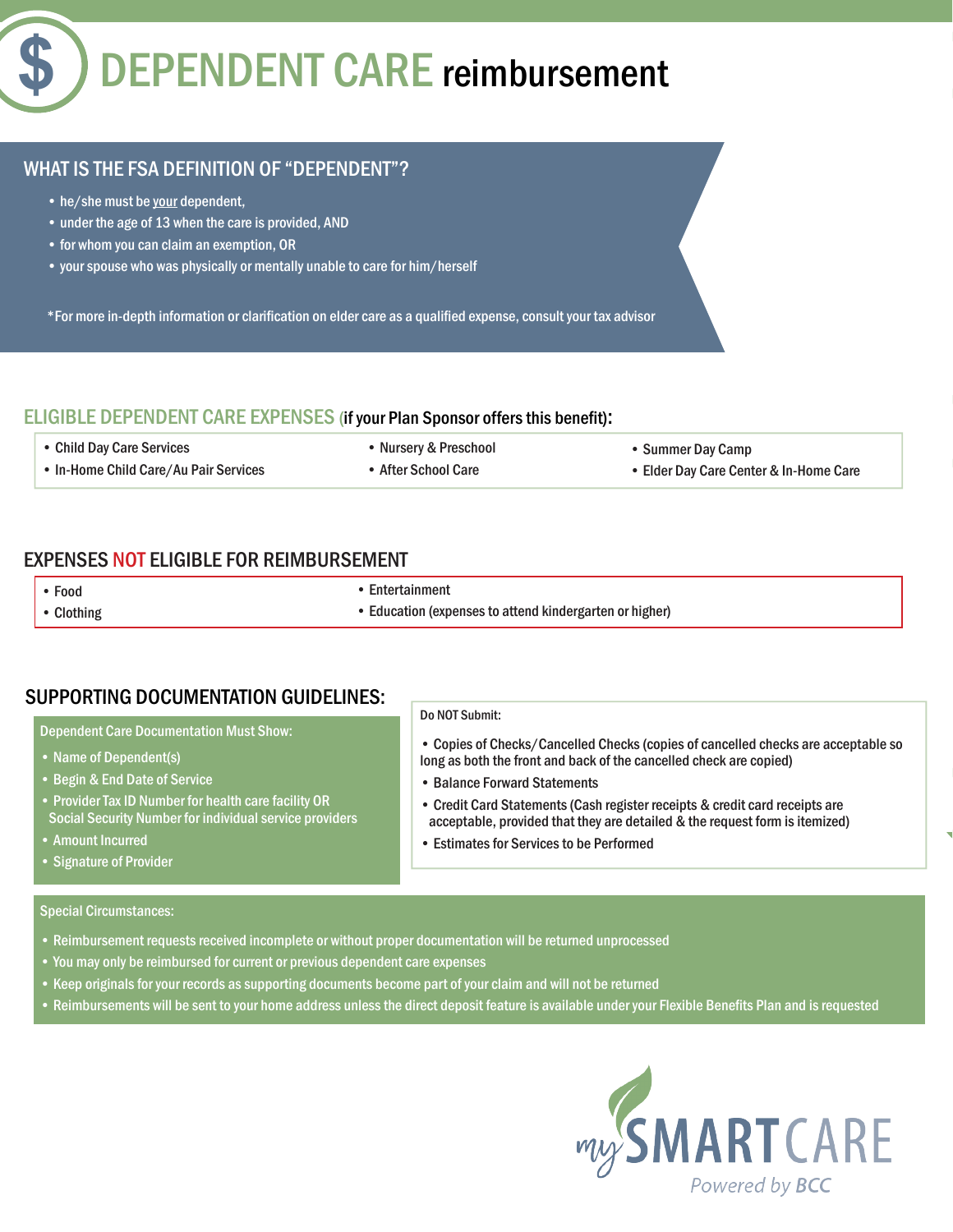# **\$** DEPENDENT CARE reimbursement

# WHAT IS THE FSA DEFINITION OF "DEPENDENT"?

- he/she must be your dependent,
- under the age of 13 when the care is provided, AND
- for whom you can claim an exemption, OR
- your spouse who was physically or mentally unable to care for him/herself

\*For more in-depth information or clarification on elder care as a qualified expense, consult your tax advisor

## ELIGIBLE DEPENDENT CARE EXPENSES (if your Plan Sponsor offers this benefit):

• Child Day Care Services

• Nursery & Preschool

• Summer Day Camp

• Copies of Checks/Cancelled Checks (copies of cancelled checks are acceptable so

long as both the front and back of the cancelled check are copied)

• Credit Card Statements (Cash register receipts & credit card receipts are

- In-Home Child Care/Au Pair Services
- After School Care

• Elder Day Care Center & In-Home Care

# EXPENSES NOT ELIGIBLE FOR REIMBURSEMENT

• Food

• Entertainment

• Clothing

• Education (expenses to attend kindergarten or higher)

• Balance Forward Statements

Do NOT Submit:

# SUPPORTING DOCUMENTATION GUIDELINES:

Dependent Care Documentation Must Show:

- Name of Dependent(s)
- Begin & End Date of Service
- Provider Tax ID Number for health care facility OR Social Security Number for individual service providers
- Amount Incurred
- Signature of Provider

#### Special Circumstances:

- Reimbursement requests received incomplete or without proper documentation will be returned unprocessed
- You may only be reimbursed for current or previous dependent care expenses
- Keep originals for your records as supporting documents become part of your claim and will not be returned
- Reimbursements will be sent to your home address unless the direct deposit feature is available under your Flexible Benefits Plan and is requested